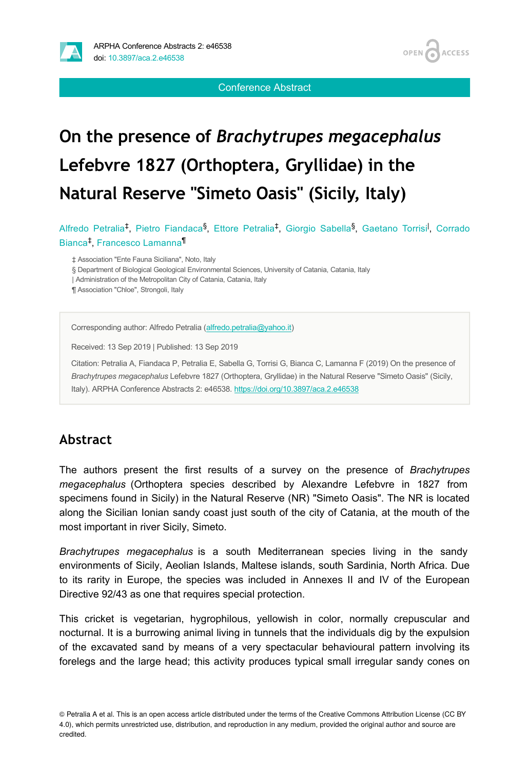

Conference Abstract

# **On the presence of** *Brachytrupes megacephalus* **Lefebvre 1827 (Orthoptera, Gryllidae) in the Natural Reserve "Simeto Oasis" (Sicily, Italy)**

Alfredo Petralia<sup>‡</sup>, Pietro Fiandaca<sup>§</sup>, Ettore Petralia<sup>‡</sup>, Giorgio Sabella<sup>§</sup>, Gaetano Torrisi<sup>l</sup>, Corrado Bianca<sup>‡</sup>, Francesco Lamanna<sup>¶</sup>

‡ Association "Ente Fauna Siciliana", Noto, Italy

§ Department of Biological Geological Environmental Sciences, University of Catania, Catania, Italy

| Administration of the Metropolitan City of Catania, Catania, Italy

¶ Association "Chloe", Strongoli, Italy

Corresponding author: Alfredo Petralia [\(alfredo.petralia@yahoo.it](mailto:alfredo.petralia@yahoo.it))

Received: 13 Sep 2019 | Published: 13 Sep 2019

Citation: Petralia A, Fiandaca P, Petralia E, Sabella G, Torrisi G, Bianca C, Lamanna F (2019) On the presence of *Brachytrupes megacephalus* Lefebvre 1827 (Orthoptera, Gryllidae) in the Natural Reserve "Simeto Oasis" (Sicily, Italy). ARPHA Conference Abstracts 2: e46538. <https://doi.org/10.3897/aca.2.e46538>

# **Abstract**

The authors present the first results of a survey on the presence of *Brachytrupes megacephalus* (Orthoptera species described by Alexandre Lefebvre in 1827 from specimens found in Sicily) in the Natural Reserve (NR) "Simeto Oasis". The NR is located along the Sicilian Ionian sandy coast just south of the city of Catania, at the mouth of the most important in river Sicily, Simeto.

*Brachytrupes megacephalus* is a south Mediterranean species living in the sandy environments of Sicily, Aeolian Islands, Maltese islands, south Sardinia, North Africa. Due to its rarity in Europe, the species was included in Annexes II and IV of the European Directive 92/43 as one that requires special protection.

This cricket is vegetarian, hygrophilous, yellowish in color, normally crepuscular and nocturnal. It is a burrowing animal living in tunnels that the individuals dig by the expulsion of the excavated sand by means of a very spectacular behavioural pattern involving its forelegs and the large head; this activity produces typical small irregular sandy cones on

© Petralia A et al. This is an open access article distributed under the terms of the Creative Commons Attribution License (CC BY 4.0), which permits unrestricted use, distribution, and reproduction in any medium, provided the original author and source are credited.